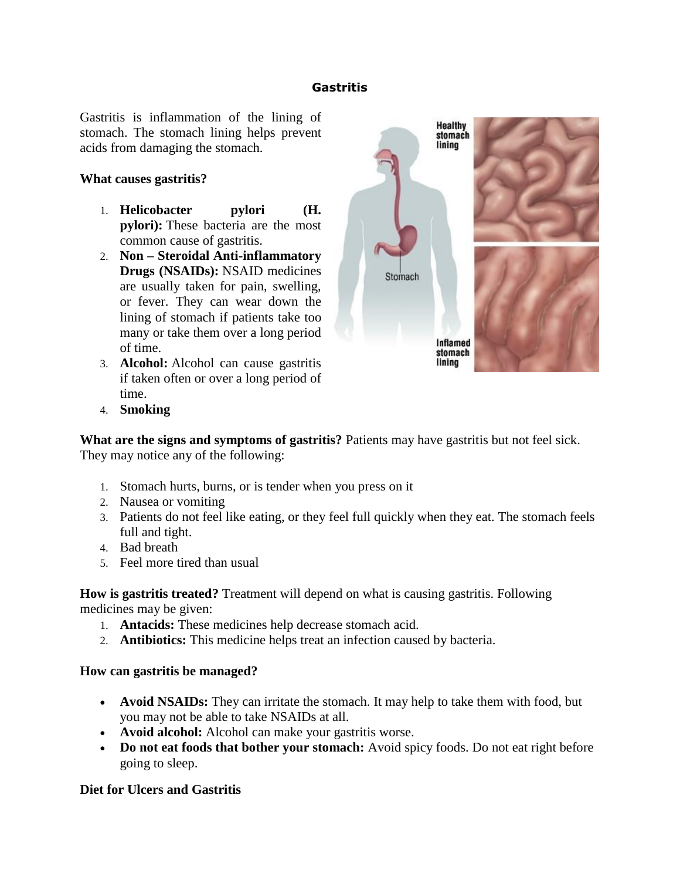### **Gastritis**

Gastritis is inflammation of the lining of stomach. The stomach lining helps prevent acids from damaging the stomach.

### **What causes gastritis?**

- 1. **Helicobacter pylori (H. pylori):** These bacteria are the most common cause of gastritis.
- 2. **Non – Steroidal Anti-inflammatory Drugs (NSAIDs):** NSAID medicines are usually taken for pain, swelling, or fever. They can wear down the lining of stomach if patients take too many or take them over a long period of time.
- 3. **Alcohol:** Alcohol can cause gastritis if taken often or over a long period of time.



4. **Smoking**

**What are the signs and symptoms of gastritis?** Patients may have gastritis but not feel sick. They may notice any of the following:

- 1. Stomach hurts, burns, or is tender when you press on it
- 2. Nausea or vomiting
- 3. Patients do not feel like eating, or they feel full quickly when they eat. The stomach feels full and tight.
- 4. Bad breath
- 5. Feel more tired than usual

**How is gastritis treated?** Treatment will depend on what is causing gastritis. Following medicines may be given:

- 1. **Antacids:** These medicines help decrease stomach acid.
- 2. **Antibiotics:** This medicine helps treat an infection caused by bacteria.

### **How can gastritis be managed?**

- **Avoid NSAIDs:** They can irritate the stomach. It may help to take them with food, but you may not be able to take NSAIDs at all.
- **Avoid alcohol:** Alcohol can make your gastritis worse.
- Do not eat foods that bother your stomach: Avoid spicy foods. Do not eat right before going to sleep.

### **Diet for Ulcers and Gastritis**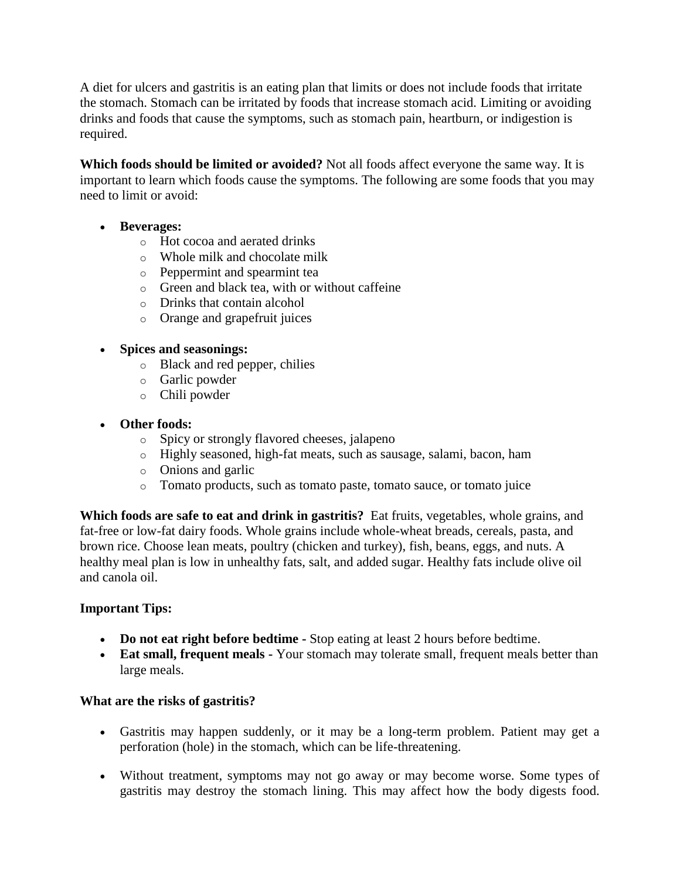A diet for ulcers and gastritis is an eating plan that limits or does not include foods that irritate the stomach. Stomach can be irritated by foods that increase stomach acid. Limiting or avoiding drinks and foods that cause the symptoms, such as stomach pain, heartburn, or indigestion is required.

**Which foods should be limited or avoided?** Not all foods affect everyone the same way. It is important to learn which foods cause the symptoms. The following are some foods that you may need to limit or avoid:

- **Beverages:**
	- o Hot cocoa and aerated drinks
	- o Whole milk and chocolate milk
	- o Peppermint and spearmint tea
	- o Green and black tea, with or without caffeine
	- o Drinks that contain alcohol
	- o Orange and grapefruit juices

# **Spices and seasonings:**

- o Black and red pepper, chilies
- o Garlic powder
- o Chili powder

# **Other foods:**

- o Spicy or strongly flavored cheeses, jalapeno
- o Highly seasoned, high-fat meats, such as sausage, salami, bacon, ham
- o Onions and garlic
- o Tomato products, such as tomato paste, tomato sauce, or tomato juice

**Which foods are safe to eat and drink in gastritis?** Eat fruits, vegetables, whole grains, and fat-free or low-fat dairy foods. Whole grains include whole-wheat breads, cereals, pasta, and brown rice. Choose lean meats, poultry (chicken and turkey), fish, beans, eggs, and nuts. A healthy meal plan is low in unhealthy fats, salt, and added sugar. Healthy fats include olive oil and canola oil.

## **Important Tips:**

- **Do not eat right before bedtime -** Stop eating at least 2 hours before bedtime.
- **Eat small, frequent meals -** Your stomach may tolerate small, frequent meals better than large meals.

## **What are the risks of gastritis?**

- Gastritis may happen suddenly, or it may be a long-term problem. Patient may get a perforation (hole) in the stomach, which can be life-threatening.
- Without treatment, symptoms may not go away or may become worse. Some types of gastritis may destroy the stomach lining. This may affect how the body digests food.